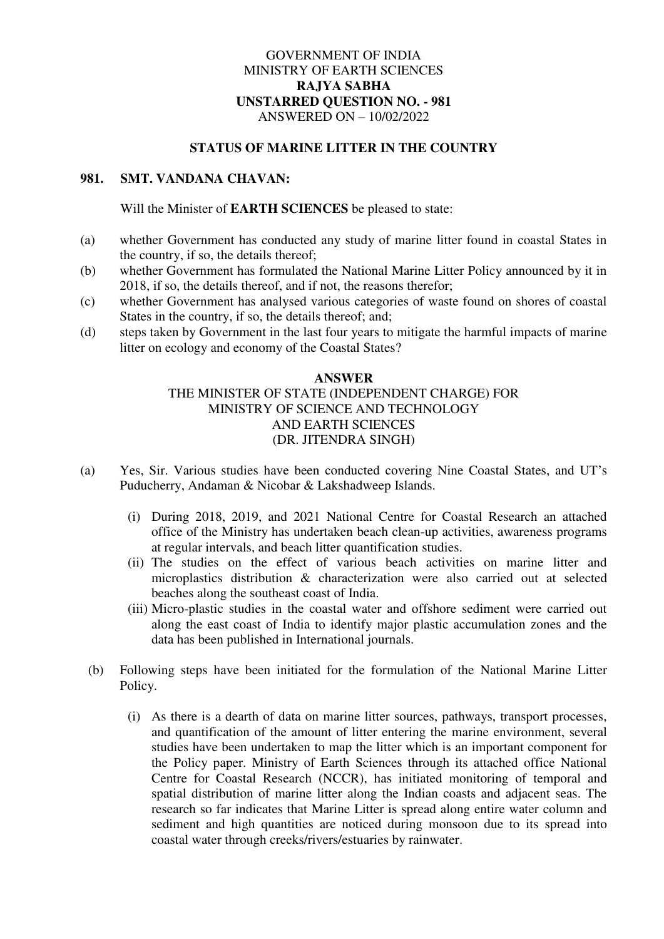## GOVERNMENT OF INDIA MINISTRY OF EARTH SCIENCES **RAJYA SABHA UNSTARRED QUESTION NO. - 981**  ANSWERED ON – 10/02/2022

## **STATUS OF MARINE LITTER IN THE COUNTRY**

## **981. SMT. VANDANA CHAVAN:**

Will the Minister of **EARTH SCIENCES** be pleased to state:

- (a) whether Government has conducted any study of marine litter found in coastal States in the country, if so, the details thereof;
- (b) whether Government has formulated the National Marine Litter Policy announced by it in 2018, if so, the details thereof, and if not, the reasons therefor;
- (c) whether Government has analysed various categories of waste found on shores of coastal States in the country, if so, the details thereof; and;
- (d) steps taken by Government in the last four years to mitigate the harmful impacts of marine litter on ecology and economy of the Coastal States?

## **ANSWER**  THE MINISTER OF STATE (INDEPENDENT CHARGE) FOR MINISTRY OF SCIENCE AND TECHNOLOGY AND EARTH SCIENCES (DR. JITENDRA SINGH)

- (a) Yes, Sir. Various studies have been conducted covering Nine Coastal States, and UT's Puducherry, Andaman & Nicobar & Lakshadweep Islands.
	- (i) During 2018, 2019, and 2021 National Centre for Coastal Research an attached office of the Ministry has undertaken beach clean-up activities, awareness programs at regular intervals, and beach litter quantification studies.
	- (ii) The studies on the effect of various beach activities on marine litter and microplastics distribution & characterization were also carried out at selected beaches along the southeast coast of India.
	- (iii) Micro-plastic studies in the coastal water and offshore sediment were carried out along the east coast of India to identify major plastic accumulation zones and the data has been published in International journals.
	- (b) Following steps have been initiated for the formulation of the National Marine Litter Policy.
		- (i) As there is a dearth of data on marine litter sources, pathways, transport processes, and quantification of the amount of litter entering the marine environment, several studies have been undertaken to map the litter which is an important component for the Policy paper. Ministry of Earth Sciences through its attached office National Centre for Coastal Research (NCCR), has initiated monitoring of temporal and spatial distribution of marine litter along the Indian coasts and adjacent seas. The research so far indicates that Marine Litter is spread along entire water column and sediment and high quantities are noticed during monsoon due to its spread into coastal water through creeks/rivers/estuaries by rainwater.